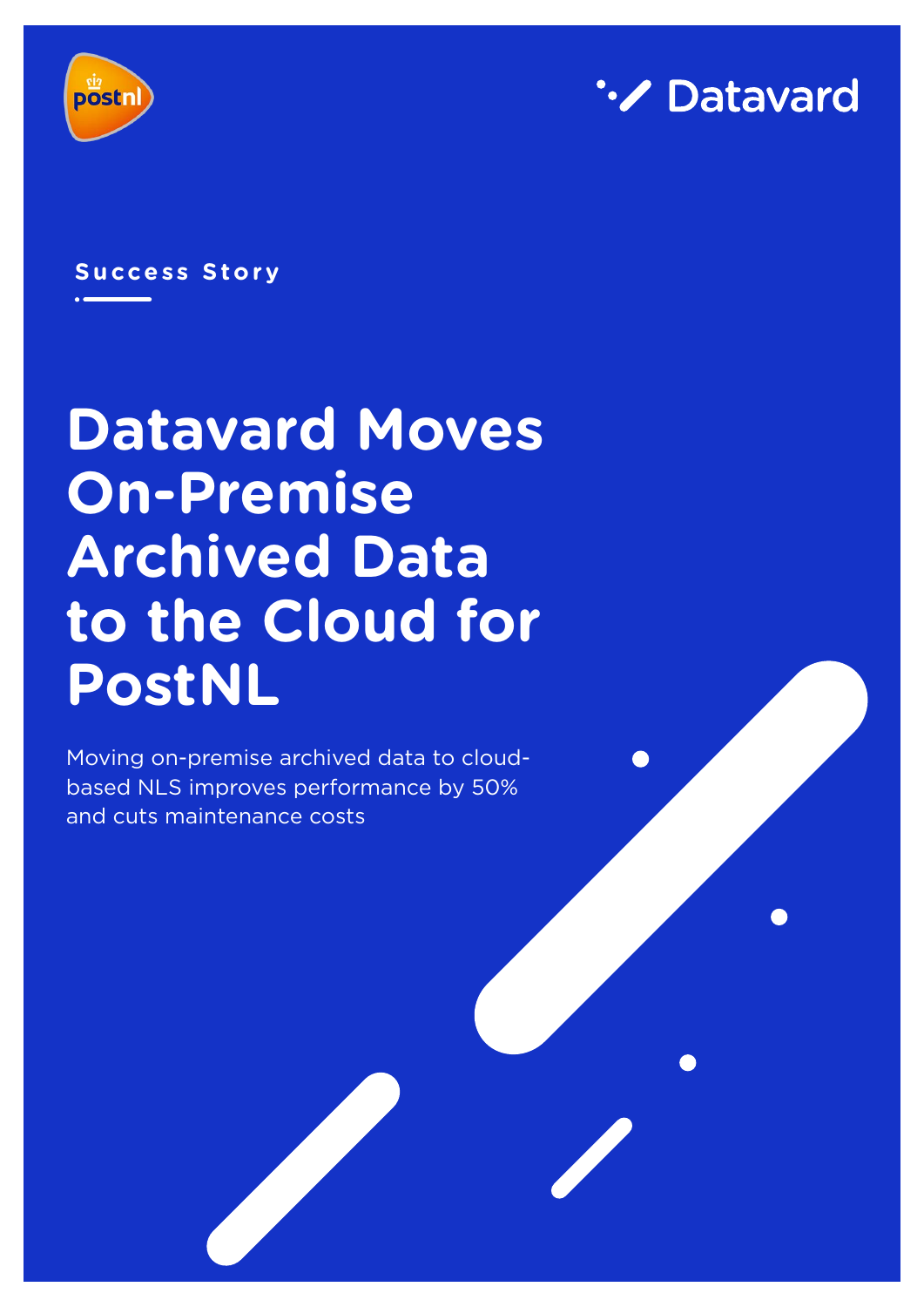



### **Success Story**

# **Datavard Moves On-Premise Archived Data to the Cloud for PostNL**

Moving on-premise archived data to cloudbased NLS improves performance by 50% and cuts maintenance costs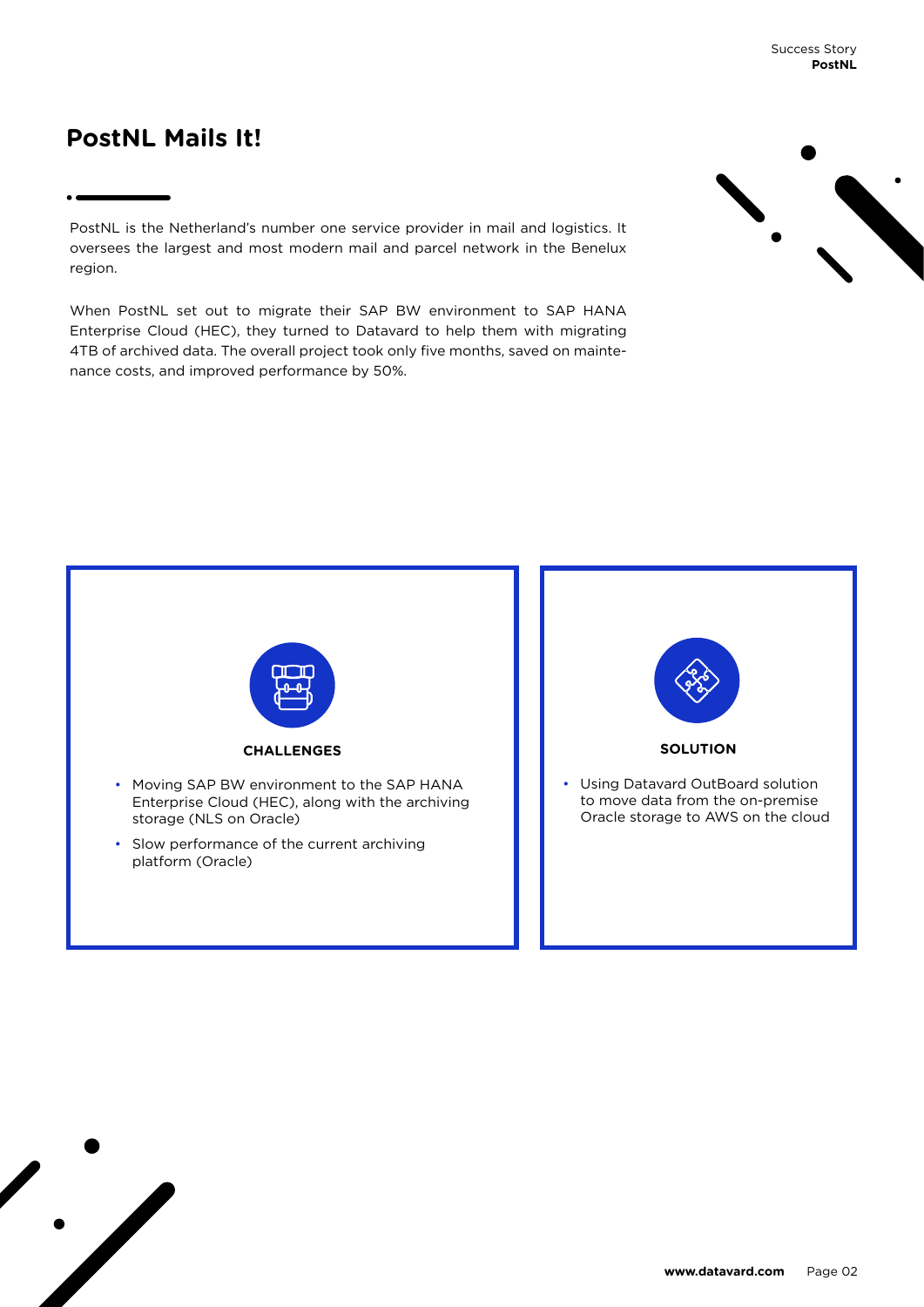# **PostNL Mails It!**

PostNL is the Netherland's number one service provider in mail and logistics. It oversees the largest and most modern mail and parcel network in the Benelux region.

When PostNL set out to migrate their SAP BW environment to SAP HANA Enterprise Cloud (HEC), they turned to Datavard to help them with migrating 4TB of archived data. The overall project took only five months, saved on maintenance costs, and improved performance by 50%.



Success Story **PostNL**

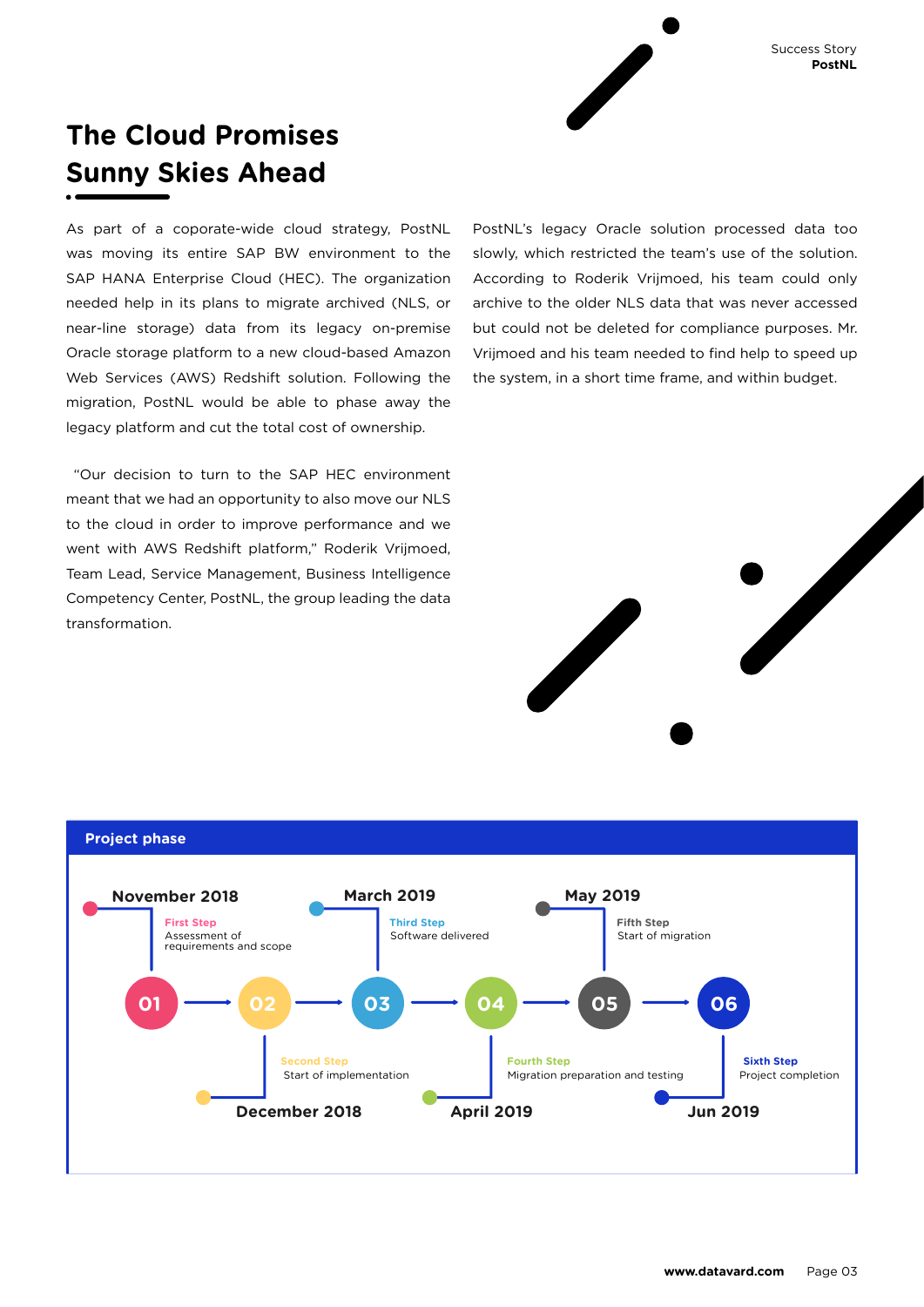# **The Cloud Promises Sunny Skies Ahead**

As part of a coporate-wide cloud strategy, PostNL was moving its entire SAP BW environment to the SAP HANA Enterprise Cloud (HEC). The organization needed help in its plans to migrate archived (NLS, or near-line storage) data from its legacy on-premise Oracle storage platform to a new cloud-based Amazon Web Services (AWS) Redshift solution. Following the migration, PostNL would be able to phase away the legacy platform and cut the total cost of ownership.

 "Our decision to turn to the SAP HEC environment meant that we had an opportunity to also move our NLS to the cloud in order to improve performance and we went with AWS Redshift platform," Roderik Vrijmoed, Team Lead, Service Management, Business Intelligence Competency Center, PostNL, the group leading the data transformation.

PostNL's legacy Oracle solution processed data too slowly, which restricted the team's use of the solution. According to Roderik Vrijmoed, his team could only archive to the older NLS data that was never accessed but could not be deleted for compliance purposes. Mr. Vrijmoed and his team needed to find help to speed up the system, in a short time frame, and within budget.



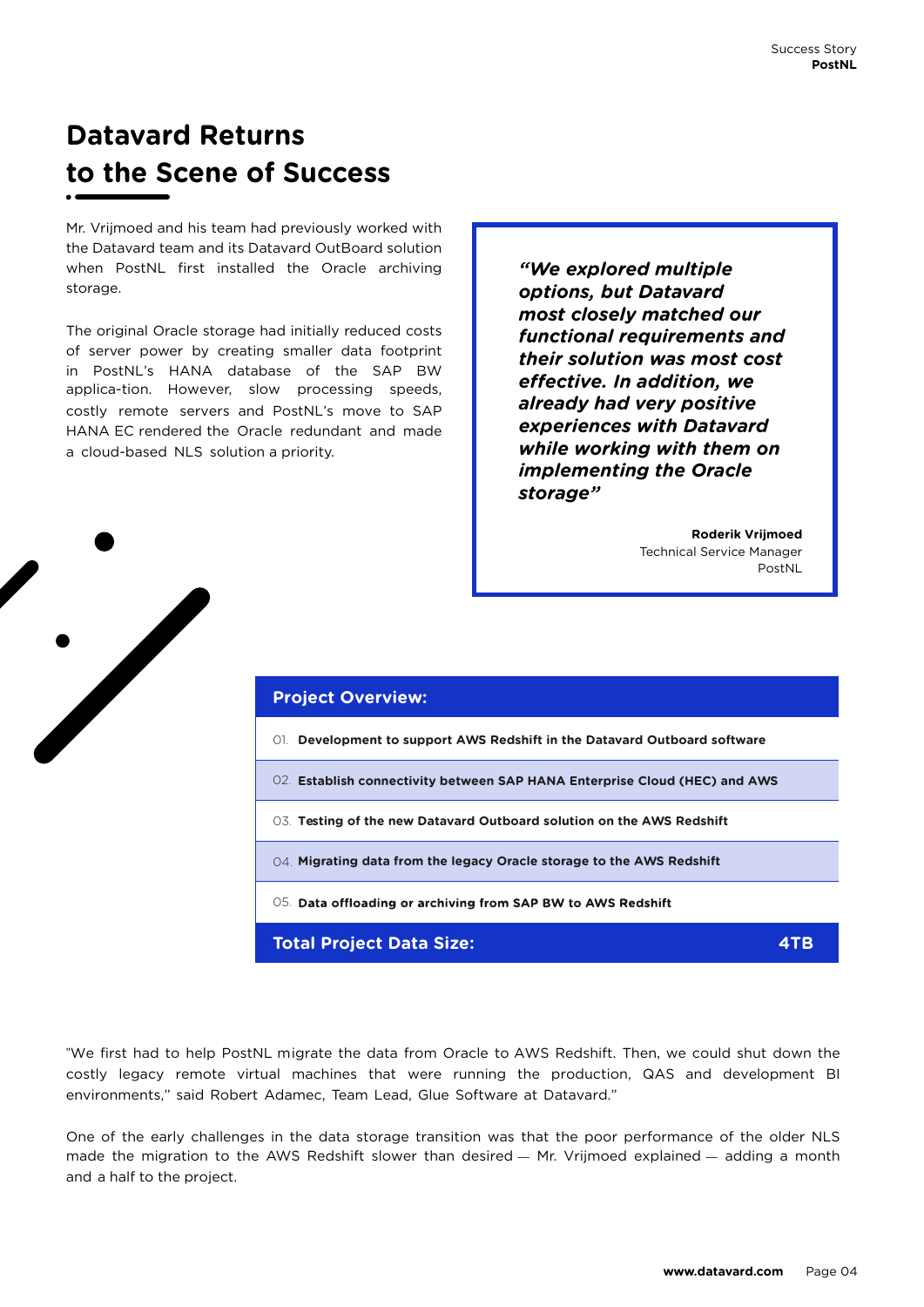# **Datavard Returns to the Scene of Success**

Mr. Vrijmoed and his team had previously worked with the Datavard team and its Datavard OutBoard solution when PostNL first installed the Oracle archiving storage.

The original Oracle storage had initially reduced costs of server power by creating smaller data footprint in PostNL's HANA database of the SAP BW applica-tion. However, slow processing speeds, costly remote servers and PostNL's move to SAP HANA EC rendered the Oracle redundant and made a cloud-based NLS solution a priority.

*"We explored multiple options, but Datavard most closely matched our functional requirements and their solution was most cost effective. In addition, we already had very positive experiences with Datavard while working with them on implementing the Oracle storage"*

> **Roderik Vrijmoed**  Technical Service Manager PostNL



"We first had to help PostNL migrate the data from Oracle to AWS Redshift. Then, we could shut down the costly legacy remote virtual machines that were running the production, QAS and development BI environments," said Robert Adamec, Team Lead, Glue Software at Datavard."

One of the early challenges in the data storage transition was that the poor performance of the older NLS made the migration to the AWS Redshift slower than desired — Mr. Vrijmoed explained — adding a month and a half to the project.